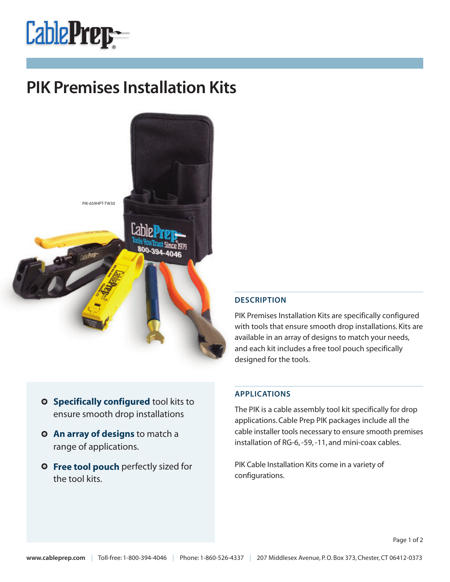

## **PIK Premises Installation Kits**



## **DESCRIPTION**

PIK Premises Installation Kits are specifically configured with tools that ensure smooth drop installations. Kits are available in an array of designs to match your needs, and each kit includes a free tool pouch specifically designed for the tools.

- **Specifically configured** tool kits to ensure smooth drop installations
- **An array of designs** to match a range of applications.
- **Free tool pouch** perfectly sized for the tool kits.

## **APPLICATIONS**

The PIK is a cable assembly tool kit specifically for drop applications.Cable Prep PIK packages include all the cable installer tools necessary to ensure smooth premises installation of RG-6,-59,-11, and mini-coax cables.

PIK Cable Installation Kits come in a variety of configurations.